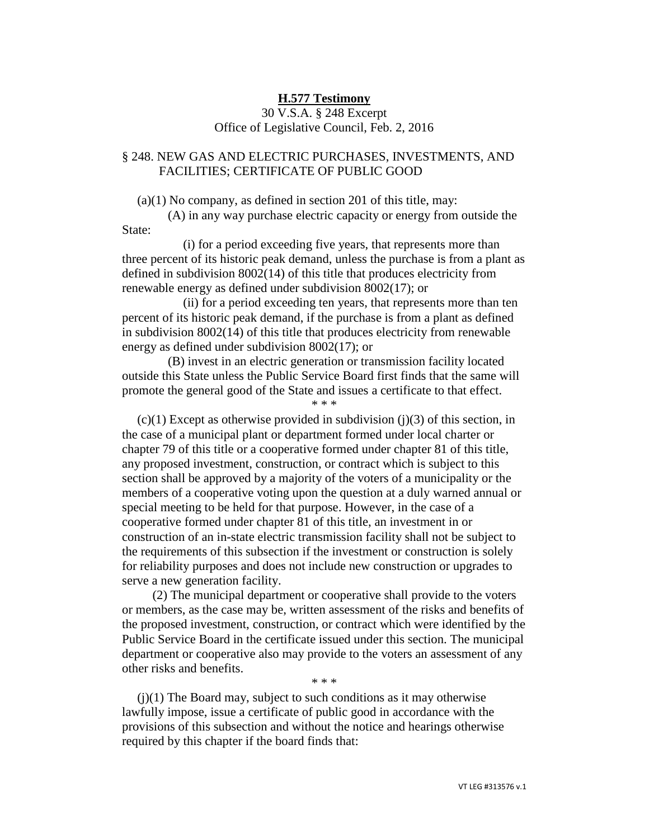## **H.577 Testimony**

## 30 V.S.A. § 248 Excerpt Office of Legislative Council, Feb. 2, 2016

## § 248. NEW GAS AND ELECTRIC PURCHASES, INVESTMENTS, AND FACILITIES; CERTIFICATE OF PUBLIC GOOD

 $(a)(1)$  No company, as defined in section 201 of this title, may:

(A) in any way purchase electric capacity or energy from outside the State:

(i) for a period exceeding five years, that represents more than three percent of its historic peak demand, unless the purchase is from a plant as defined in subdivision 8002(14) of this title that produces electricity from renewable energy as defined under subdivision 8002(17); or

(ii) for a period exceeding ten years, that represents more than ten percent of its historic peak demand, if the purchase is from a plant as defined in subdivision 8002(14) of this title that produces electricity from renewable energy as defined under subdivision 8002(17); or

(B) invest in an electric generation or transmission facility located outside this State unless the Public Service Board first finds that the same will promote the general good of the State and issues a certificate to that effect. \* \* \*

 $(c)(1)$  Except as otherwise provided in subdivision (j)(3) of this section, in the case of a municipal plant or department formed under local charter or chapter 79 of this title or a cooperative formed under chapter 81 of this title, any proposed investment, construction, or contract which is subject to this section shall be approved by a majority of the voters of a municipality or the members of a cooperative voting upon the question at a duly warned annual or special meeting to be held for that purpose. However, in the case of a cooperative formed under chapter 81 of this title, an investment in or construction of an in-state electric transmission facility shall not be subject to the requirements of this subsection if the investment or construction is solely for reliability purposes and does not include new construction or upgrades to serve a new generation facility.

(2) The municipal department or cooperative shall provide to the voters or members, as the case may be, written assessment of the risks and benefits of the proposed investment, construction, or contract which were identified by the Public Service Board in the certificate issued under this section. The municipal department or cooperative also may provide to the voters an assessment of any other risks and benefits.

\* \* \*

 $(j)(1)$  The Board may, subject to such conditions as it may otherwise lawfully impose, issue a certificate of public good in accordance with the provisions of this subsection and without the notice and hearings otherwise required by this chapter if the board finds that: